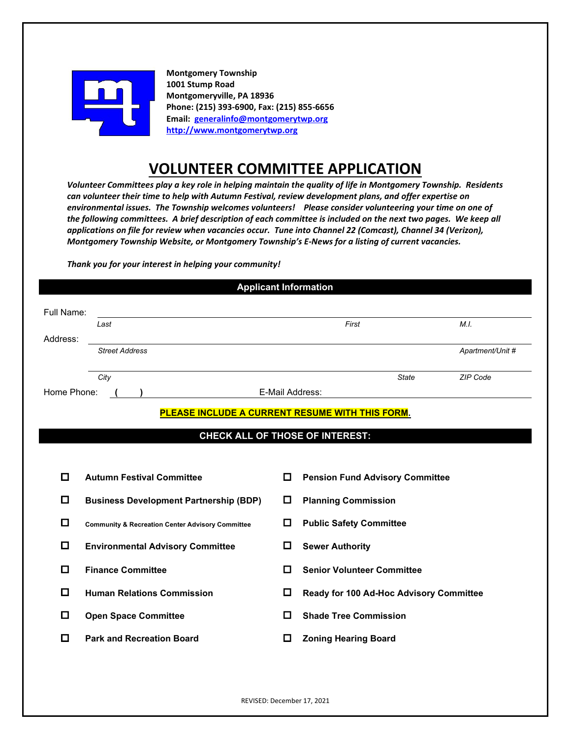

**Montgomery Township 1001 Stump Road Montgomeryville, PA 18936 Phone: (215) 393-6900, Fax: (215) 855-6656 Email: [generalinfo@montgomerytwp.org](mailto:generalinfo@montgomerytwp.org) [http://www.montgomerytwp.org](http://www.montgomerytwp.org/)**

# **VOLUNTEER COMMITTEE APPLICATION**

*Volunteer Committees play a key role in helping maintain the quality of life in Montgomery Township. Residents can volunteer their time to help with Autumn Festival, review development plans, and offer expertise on environmental issues. The Township welcomes volunteers! Please consider volunteering your time on one of the following committees. A brief description of each committee is included on the next two pages. We keep all applications on file for review when vacancies occur. Tune into Channel 22 (Comcast), Channel 34 (Verizon), Montgomery Township Website, or Montgomery Township's E-News for a listing of current vacancies.* 

*Thank you for your interest in helping your community!* 

| Full Name:  | Last                                                        |                 | First                                                  | M.L              |
|-------------|-------------------------------------------------------------|-----------------|--------------------------------------------------------|------------------|
| Address:    |                                                             |                 |                                                        |                  |
|             | <b>Street Address</b>                                       |                 |                                                        | Apartment/Unit # |
|             | City                                                        |                 | State                                                  | ZIP Code         |
| Home Phone: |                                                             | E-Mail Address: |                                                        |                  |
|             |                                                             |                 | <b>PLEASE INCLUDE A CURRENT RESUME WITH THIS FORM.</b> |                  |
|             |                                                             |                 | <b>CHECK ALL OF THOSE OF INTEREST:</b>                 |                  |
|             |                                                             |                 |                                                        |                  |
|             |                                                             |                 |                                                        |                  |
| $\Box$      | <b>Autumn Festival Committee</b>                            | $\Box$          | <b>Pension Fund Advisory Committee</b>                 |                  |
| 0           | <b>Business Development Partnership (BDP)</b>               | $\Box$          | <b>Planning Commission</b>                             |                  |
|             |                                                             |                 |                                                        |                  |
| □           | <b>Community &amp; Recreation Center Advisory Committee</b> | □               | <b>Public Safety Committee</b>                         |                  |
| 0           | <b>Environmental Advisory Committee</b>                     | $\Box$          | <b>Sewer Authority</b>                                 |                  |
| П           | <b>Finance Committee</b>                                    | O               | <b>Senior Volunteer Committee</b>                      |                  |
| □           | <b>Human Relations Commission</b>                           | $\Box$          | Ready for 100 Ad-Hoc Advisory Committee                |                  |
| $\Box$      | <b>Open Space Committee</b>                                 | П               | <b>Shade Tree Commission</b>                           |                  |

REVISED: December 17, 2021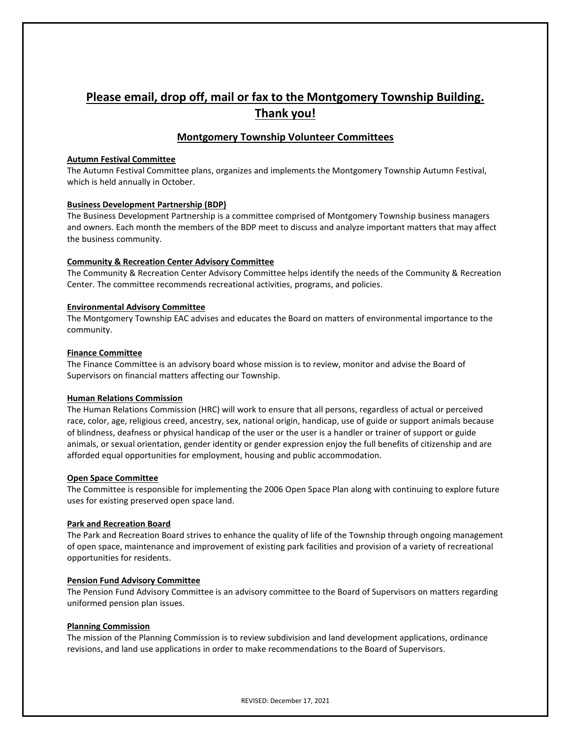## **Please email, drop off, mail or fax to the Montgomery Township Building. Thank you!**

### **Montgomery Township Volunteer Committees**

#### **Autumn Festival Committee**

The Autumn Festival Committee plans, organizes and implements the Montgomery Township Autumn Festival, which is held annually in October.

#### **Business Development Partnership (BDP)**

The Business Development Partnership is a committee comprised of Montgomery Township business managers and owners. Each month the members of the BDP meet to discuss and analyze important matters that may affect the business community.

#### **Community & Recreation Center Advisory Committee**

The Community & Recreation Center Advisory Committee helps identify the needs of the Community & Recreation Center. The committee recommends recreational activities, programs, and policies.

#### **Environmental Advisory Committee**

The Montgomery Township EAC advises and educates the Board on matters of environmental importance to the community.

#### **Finance Committee**

The Finance Committee is an advisory board whose mission is to review, monitor and advise the Board of Supervisors on financial matters affecting our Township.

#### **Human Relations Commission**

The Human Relations Commission (HRC) will work to ensure that all persons, regardless of actual or perceived race, color, age, religious creed, ancestry, sex, national origin, handicap, use of guide or support animals because of blindness, deafness or physical handicap of the user or the user is a handler or trainer of support or guide animals, or sexual orientation, gender identity or gender expression enjoy the full benefits of citizenship and are afforded equal opportunities for employment, housing and public accommodation.

#### **Open Space Committee**

The Committee is responsible for implementing the 2006 Open Space Plan along with continuing to explore future uses for existing preserved open space land.

#### **Park and Recreation Board**

The Park and Recreation Board strives to enhance the quality of life of the Township through ongoing management of open space, maintenance and improvement of existing park facilities and provision of a variety of recreational opportunities for residents.

#### **Pension Fund Advisory Committee**

The Pension Fund Advisory Committee is an advisory committee to the Board of Supervisors on matters regarding uniformed pension plan issues.

#### **Planning Commission**

The mission of the Planning Commission is to review subdivision and land development applications, ordinance revisions, and land use applications in order to make recommendations to the Board of Supervisors.